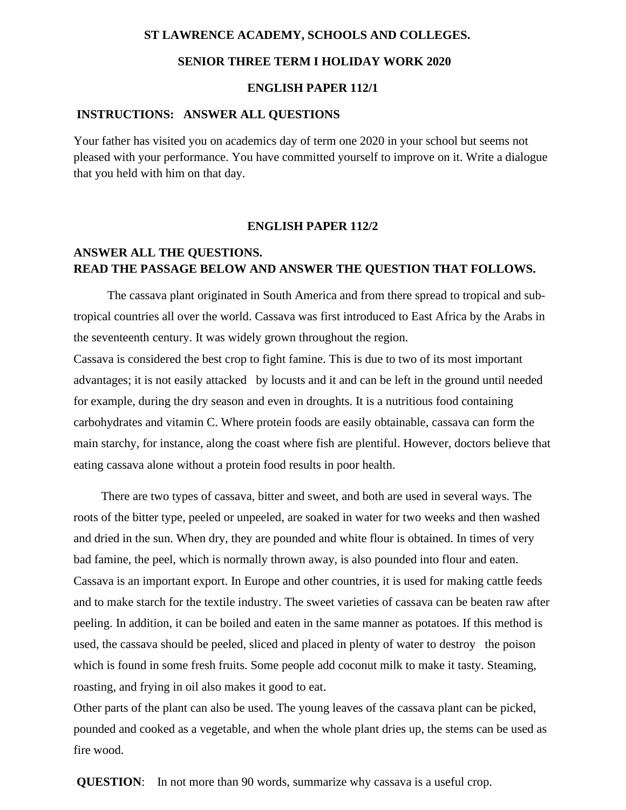#### **ST LAWRENCE ACADEMY, SCHOOLS AND COLLEGES.**

#### **SENIOR THREE TERM I HOLIDAY WORK 2020**

#### **ENGLISH PAPER 112/1**

#### **INSTRUCTIONS: ANSWER ALL QUESTIONS**

Your father has visited you on academics day of term one 2020 in your school but seems not pleased with your performance. You have committed yourself to improve on it. Write a dialogue that you held with him on that day.

#### **ENGLISH PAPER 112/2**

## **ANSWER ALL THE QUESTIONS. READ THE PASSAGE BELOW AND ANSWER THE QUESTION THAT FOLLOWS.**

 The cassava plant originated in South America and from there spread to tropical and subtropical countries all over the world. Cassava was first introduced to East Africa by the Arabs in the seventeenth century. It was widely grown throughout the region.

Cassava is considered the best crop to fight famine. This is due to two of its most important advantages; it is not easily attacked by locusts and it and can be left in the ground until needed for example, during the dry season and even in droughts. It is a nutritious food containing carbohydrates and vitamin C. Where protein foods are easily obtainable, cassava can form the main starchy, for instance, along the coast where fish are plentiful. However, doctors believe that eating cassava alone without a protein food results in poor health.

 There are two types of cassava, bitter and sweet, and both are used in several ways. The roots of the bitter type, peeled or unpeeled, are soaked in water for two weeks and then washed and dried in the sun. When dry, they are pounded and white flour is obtained. In times of very bad famine, the peel, which is normally thrown away, is also pounded into flour and eaten. Cassava is an important export. In Europe and other countries, it is used for making cattle feeds and to make starch for the textile industry. The sweet varieties of cassava can be beaten raw after peeling. In addition, it can be boiled and eaten in the same manner as potatoes. If this method is used, the cassava should be peeled, sliced and placed in plenty of water to destroy the poison which is found in some fresh fruits. Some people add coconut milk to make it tasty. Steaming, roasting, and frying in oil also makes it good to eat.

Other parts of the plant can also be used. The young leaves of the cassava plant can be picked, pounded and cooked as a vegetable, and when the whole plant dries up, the stems can be used as fire wood.

**QUESTION:** In not more than 90 words, summarize why cassava is a useful crop.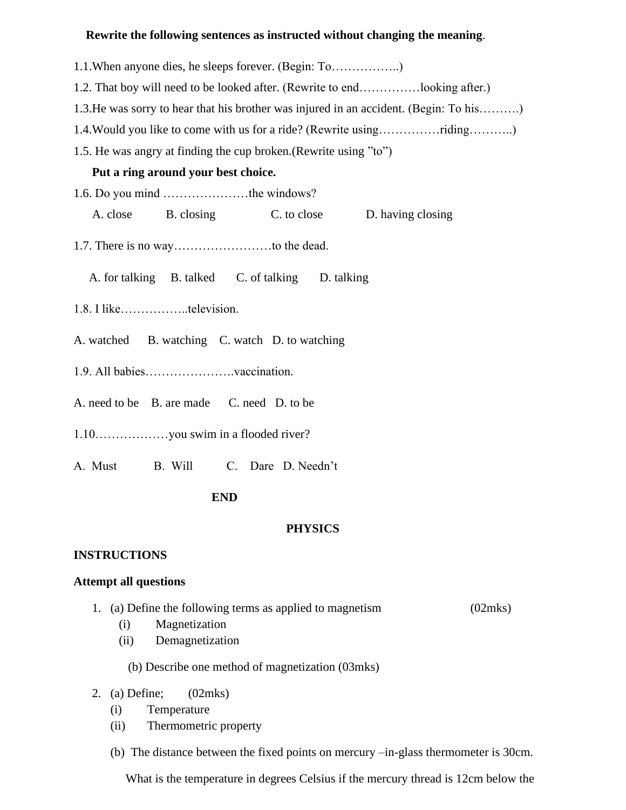## **Rewrite the following sentences as instructed without changing the meaning**.

- 1.1.When anyone dies, he sleeps forever. (Begin: To……………..)
- 1.2. That boy will need to be looked after. (Rewrite to end……………looking after.)
- 1.3.He was sorry to hear that his brother was injured in an accident. (Begin: To his……….)
- 1.4.Would you like to come with us for a ride? (Rewrite using……………riding………..)
- 1.5. He was angry at finding the cup broken.(Rewrite using "to")

## **Put a ring around your best choice.**

- 1.6. Do you mind …………………the windows?
	- A. close B. closing C. to close D. having closing
- 1.7. There is no way……………………to the dead.
	- A. for talking B. talked C. of talking D. talking
- 1.8. I like……………..television.
- A. watched B. watching C. watch D. to watching
- 1.9. All babies………………….vaccination.
- A. need to be B. are made C. need D. to be
- 1.10………………you swim in a flooded river?
- A. Must B. Will C. Dare D. Needn't

## **END**

## **PHYSICS**

## **INSTRUCTIONS**

## **Attempt all questions**

- 1. (a) Define the following terms as applied to magnetism (02mks)
	- (i) Magnetization
	- (ii) Demagnetization
		- (b) Describe one method of magnetization (03mks)
- 2. (a) Define; (02mks)
	- (i) Temperature
	- (ii) Thermometric property
	- (b) The distance between the fixed points on mercury –in-glass thermometer is 30cm.

What is the temperature in degrees Celsius if the mercury thread is 12cm below the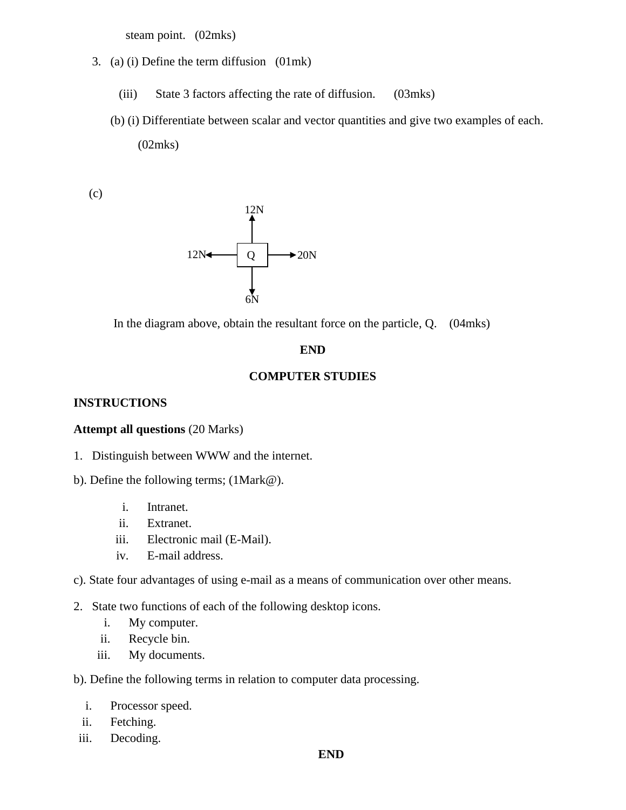steam point. (02mks)

- 3. (a) (i) Define the term diffusion (01mk)
	- (iii) State 3 factors affecting the rate of diffusion. (03mks)
	- (b) (i) Differentiate between scalar and vector quantities and give two examples of each. (02mks)

(c)



In the diagram above, obtain the resultant force on the particle, Q. (04mks)

#### **END**

#### **COMPUTER STUDIES**

#### **INSTRUCTIONS**

#### **Attempt all questions** (20 Marks)

- 1. Distinguish between WWW and the internet.
- b). Define the following terms; (1Mark@).
	- i. Intranet.
	- ii. Extranet.
	- iii. Electronic mail (E-Mail).
	- iv. E-mail address.

#### c). State four advantages of using e-mail as a means of communication over other means.

- 2. State two functions of each of the following desktop icons.
	- i. My computer.
	- ii. Recycle bin.
	- iii. My documents.

b). Define the following terms in relation to computer data processing.

- i. Processor speed.
- ii. Fetching.
- iii. Decoding.

#### **END**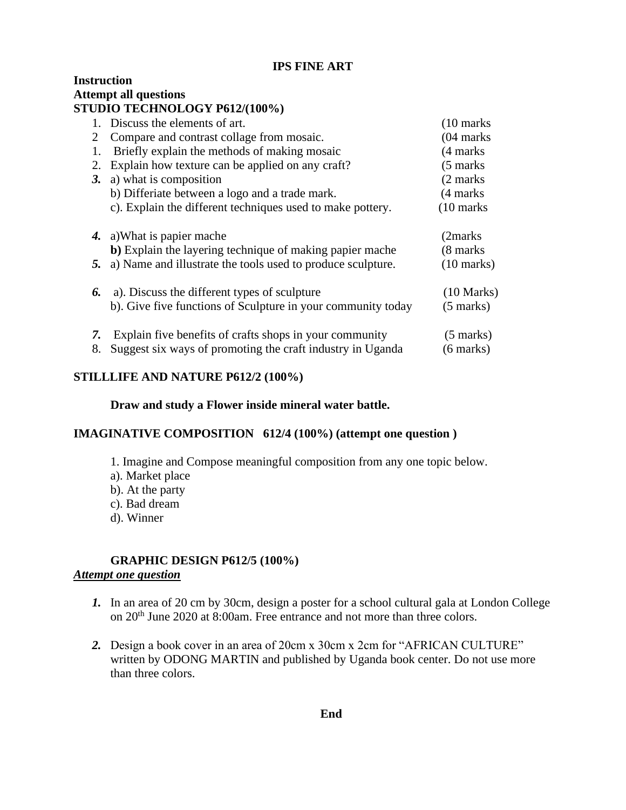## **IPS FINE ART**

## **Instruction Attempt all questions STUDIO TECHNOLOGY P612/(100%)**

|    | 1. Discuss the elements of art.                              | $(10 \text{ marks})$ |
|----|--------------------------------------------------------------|----------------------|
| 2  | Compare and contrast collage from mosaic.                    | $(04$ marks          |
| 1. | Briefly explain the methods of making mosaic                 | (4 marks)            |
| 2. | Explain how texture can be applied on any craft?             | $(5 \text{ marks})$  |
| 3. | a) what is composition                                       | (2 marks)            |
|    | b) Differiate between a logo and a trade mark.               | (4 marks)            |
|    | c). Explain the different techniques used to make pottery.   | $(10 \text{ marks})$ |
|    | 4. a) What is papier mache                                   | (2marks)             |
|    | b) Explain the layering technique of making papier mache     | (8 marks)            |
| 5. | a) Name and illustrate the tools used to produce sculpture.  | $(10 \text{ marks})$ |
| 6. | a). Discuss the different types of sculpture                 | $(10 \text{ Marks})$ |
|    | b). Give five functions of Sculpture in your community today | $(5 \text{ marks})$  |
| 7. | Explain five benefits of crafts shops in your community      | $(5 \text{ marks})$  |
| 8. | Suggest six ways of promoting the craft industry in Uganda   | $(6 \text{ marks})$  |

## **STILLLIFE AND NATURE P612/2 (100%)**

#### **Draw and study a Flower inside mineral water battle.**

## **IMAGINATIVE COMPOSITION 612/4 (100%) (attempt one question )**

- 1. Imagine and Compose meaningful composition from any one topic below.
- a). Market place
- b). At the party
- c). Bad dream
- d). Winner

# **GRAPHIC DESIGN P612/5 (100%)**

## *Attempt one question*

- *1.* In an area of 20 cm by 30cm, design a poster for a school cultural gala at London College on 20th June 2020 at 8:00am. Free entrance and not more than three colors.
- *2.* Design a book cover in an area of 20cm x 30cm x 2cm for "AFRICAN CULTURE" written by ODONG MARTIN and published by Uganda book center. Do not use more than three colors.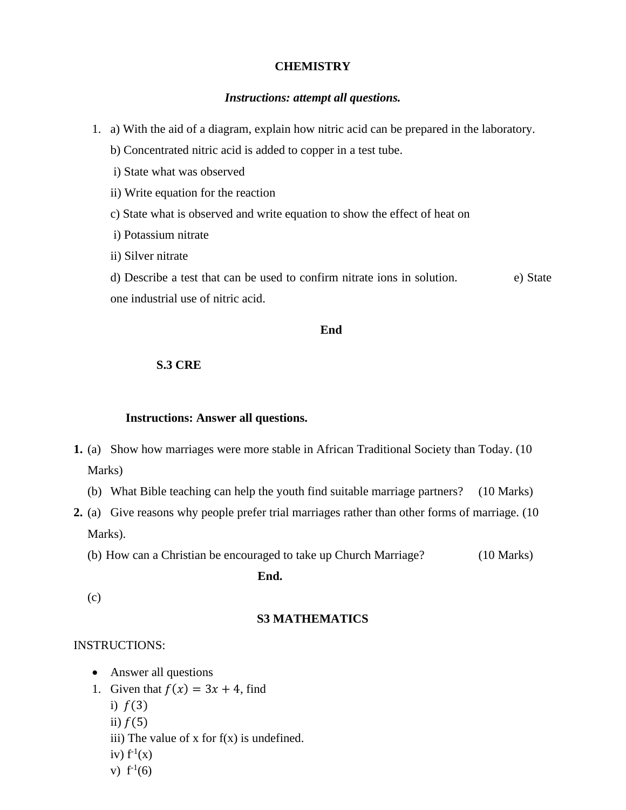#### **CHEMISTRY**

#### *Instructions: attempt all questions.*

- 1. a) With the aid of a diagram, explain how nitric acid can be prepared in the laboratory.
	- b) Concentrated nitric acid is added to copper in a test tube.
	- i) State what was observed
	- ii) Write equation for the reaction
	- c) State what is observed and write equation to show the effect of heat on
	- i) Potassium nitrate
	- ii) Silver nitrate

d) Describe a test that can be used to confirm nitrate ions in solution. e) State one industrial use of nitric acid.

#### **End**

#### **S.3 CRE**

#### **Instructions: Answer all questions.**

- **1.** (a) Show how marriages were more stable in African Traditional Society than Today. (10 Marks)
	- (b) What Bible teaching can help the youth find suitable marriage partners? (10 Marks)
- **2.** (a) Give reasons why people prefer trial marriages rather than other forms of marriage. (10 Marks).
	- (b) How can a Christian be encouraged to take up Church Marriage? (10 Marks)

**End.**

(c)

#### **S3 MATHEMATICS**

#### INSTRUCTIONS:

- Answer all questions
- 1. Given that  $f(x) = 3x + 4$ , find
	- i)  $f(3)$
	- ii)  $f(5)$
	- iii) The value of  $x$  for  $f(x)$  is undefined.
	- iv)  $f^{-1}(x)$
	- v)  $f^{-1}(6)$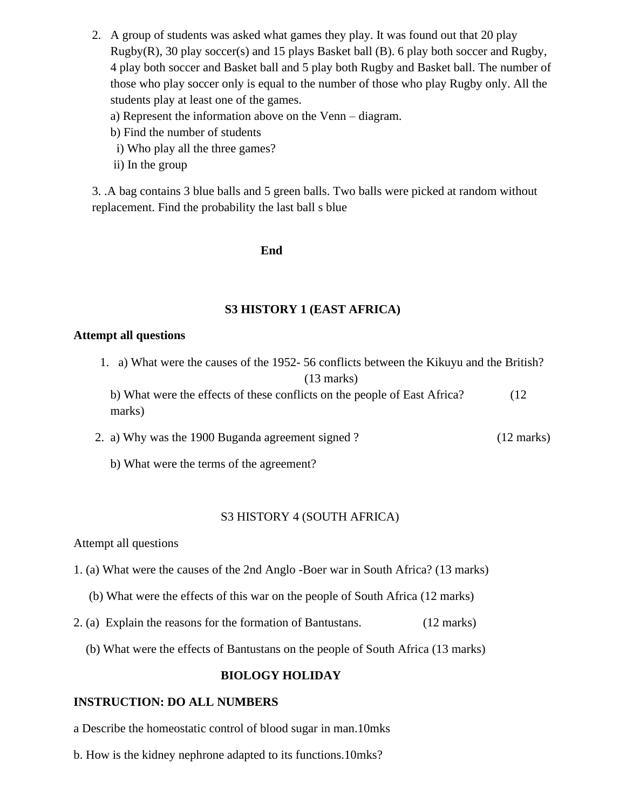- 2. A group of students was asked what games they play. It was found out that 20 play Rugby(R), 30 play soccer(s) and 15 plays Basket ball (B). 6 play both soccer and Rugby, 4 play both soccer and Basket ball and 5 play both Rugby and Basket ball. The number of those who play soccer only is equal to the number of those who play Rugby only. All the students play at least one of the games.
	- a) Represent the information above on the Venn diagram.
	- b) Find the number of students
	- i) Who play all the three games?
	- ii) In the group

3. .A bag contains 3 blue balls and 5 green balls. Two balls were picked at random without replacement. Find the probability the last ball s blue

#### **End**

## **S3 HISTORY 1 (EAST AFRICA)**

#### **Attempt all questions**

1. a) What were the causes of the 1952- 56 conflicts between the Kikuyu and the British? (13 marks)

b) What were the effects of these conflicts on the people of East Africa? (12 marks)

- 2. a) Why was the 1900 Buganda agreement signed ? (12 marks)
	- b) What were the terms of the agreement?

#### S3 HISTORY 4 (SOUTH AFRICA)

Attempt all questions

- 1. (a) What were the causes of the 2nd Anglo -Boer war in South Africa? (13 marks)
	- (b) What were the effects of this war on the people of South Africa (12 marks)
- 2. (a) Explain the reasons for the formation of Bantustans. (12 marks)
	- (b) What were the effects of Bantustans on the people of South Africa (13 marks)

#### **BIOLOGY HOLIDAY**

#### **INSTRUCTION: DO ALL NUMBERS**

- a Describe the homeostatic control of blood sugar in man.10mks
- b. How is the kidney nephrone adapted to its functions.10mks?